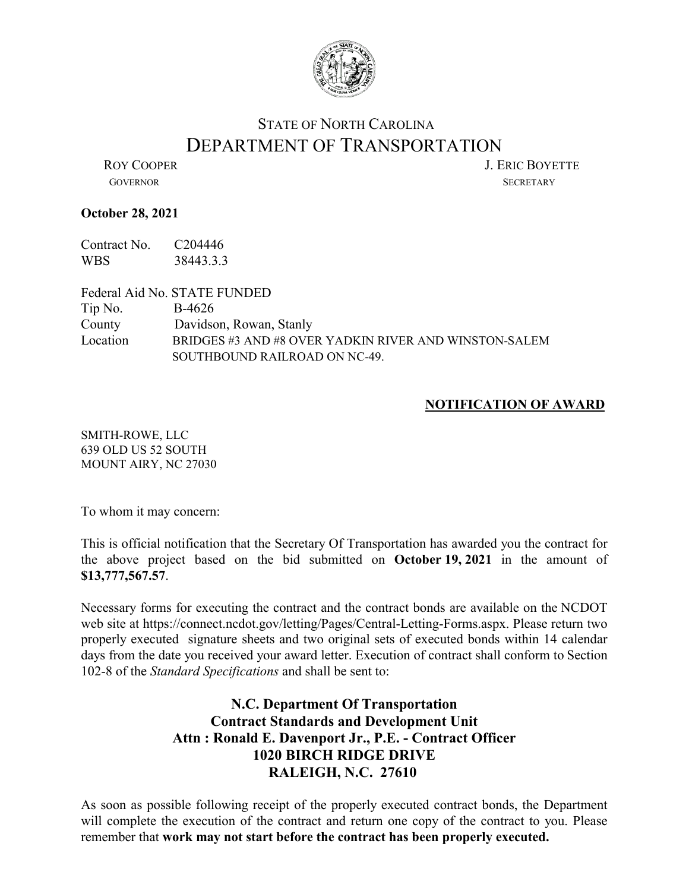

## STATE OF NORTH CAROLINA DEPARTMENT OF TRANSPORTATION<br>LERIC BOYETTE

GOVERNOR SECRETARY

## **October 28, 2021**

Contract No. C204446 WBS 38443.3.3

Federal Aid No. STATE FUNDED Tip No. B-4626 County Davidson, Rowan, Stanly Location BRIDGES #3 AND #8 OVER YADKIN RIVER AND WINSTON-SALEM SOUTHBOUND RAILROAD ON NC-49.

## **NOTIFICATION OF AWARD**

SMITH-ROWE, LLC 639 OLD US 52 SOUTH MOUNT AIRY, NC 27030

To whom it may concern:

This is official notification that the Secretary Of Transportation has awarded you the contract for the above project based on the bid submitted on **October 19, 2021** in the amount of **\$13,777,567.57**.

Necessary forms for executing the contract and the contract bonds are available on the NCDOT web site at https://connect.ncdot.gov/letting/Pages/Central-Letting-Forms.aspx. Please return two properly executed signature sheets and two original sets of executed bonds within 14 calendar days from the date you received your award letter. Execution of contract shall conform to Section 102-8 of the *Standard Specifications* and shall be sent to:

## **N.C. Department Of Transportation Contract Standards and Development Unit Attn : Ronald E. Davenport Jr., P.E. - Contract Officer 1020 BIRCH RIDGE DRIVE RALEIGH, N.C. 27610**

As soon as possible following receipt of the properly executed contract bonds, the Department will complete the execution of the contract and return one copy of the contract to you. Please remember that **work may not start before the contract has been properly executed.**